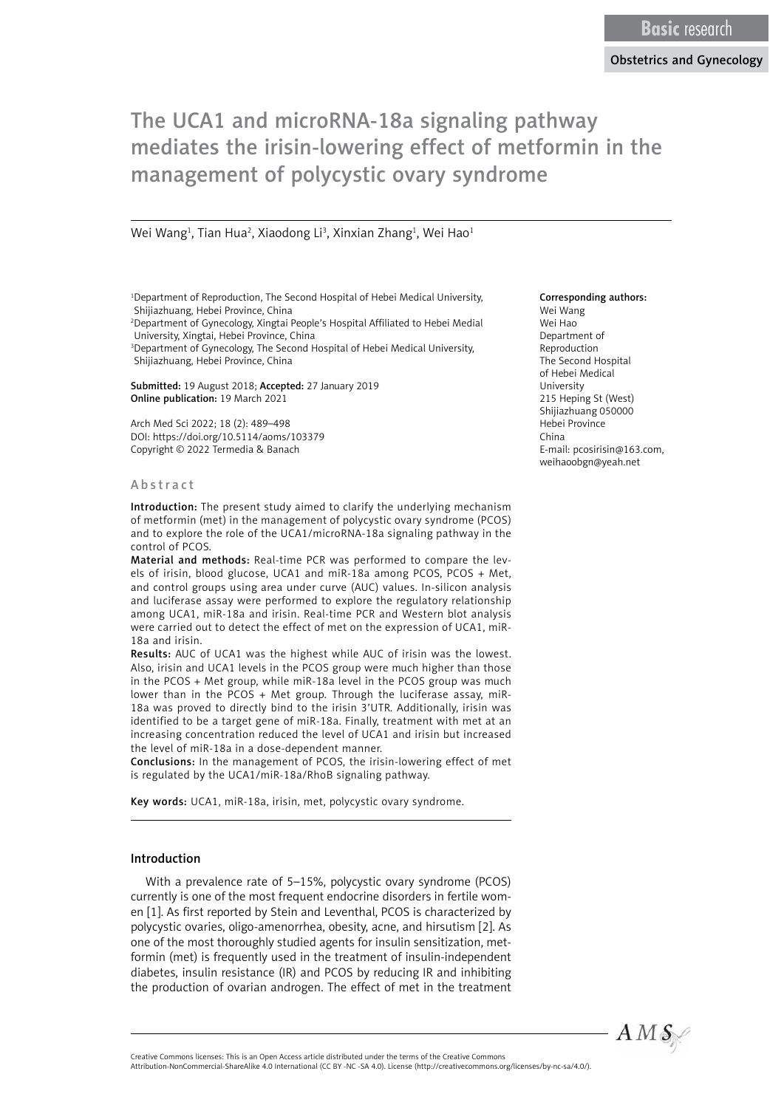Wei Wang<sup>1</sup>, Tian Hua<sup>2</sup>, Xiaodong Li<sup>3</sup>, Xinxian Zhang<sup>1</sup>, Wei Hao<sup>1</sup>

<sup>1</sup>Department of Reproduction, The Second Hospital of Hebei Medical University, Shijiazhuang, Hebei Province, China

2 Department of Gynecology, Xingtai People's Hospital Affiliated to Hebei Medial University, Xingtai, Hebei Province, China

3 Department of Gynecology, The Second Hospital of Hebei Medical University, Shijiazhuang, Hebei Province, China

Submitted: 19 August 2018; Accepted: 27 January 2019 Online publication: 19 March 2021

Arch Med Sci 2022; 18 (2): 489–498 DOI: https://doi.org/10.5114/aoms/103379 Copyright © 2022 Termedia & Banach

#### A b s t r a c t

Introduction: The present study aimed to clarify the underlying mechanism of metformin (met) in the management of polycystic ovary syndrome (PCOS) and to explore the role of the UCA1/microRNA-18a signaling pathway in the control of PCOS.

Material and methods: Real-time PCR was performed to compare the levels of irisin, blood glucose, UCA1 and miR-18a among PCOS, PCOS + Met, and control groups using area under curve (AUC) values. In-silicon analysis and luciferase assay were performed to explore the regulatory relationship among UCA1, miR-18a and irisin. Real-time PCR and Western blot analysis were carried out to detect the effect of met on the expression of UCA1, miR-18a and irisin.

Results: AUC of UCA1 was the highest while AUC of irisin was the lowest. Also, irisin and UCA1 levels in the PCOS group were much higher than those in the PCOS + Met group, while miR-18a level in the PCOS group was much lower than in the PCOS + Met group. Through the luciferase assay, miR-18a was proved to directly bind to the irisin 3'UTR. Additionally, irisin was identified to be a target gene of miR-18a. Finally, treatment with met at an increasing concentration reduced the level of UCA1 and irisin but increased the level of miR-18a in a dose-dependent manner.

Conclusions: In the management of PCOS, the irisin-lowering effect of met is regulated by the UCA1/miR-18a/RhoB signaling pathway.

Key words: UCA1, miR-18a, irisin, met, polycystic ovary syndrome.

#### Introduction

With a prevalence rate of 5–15%, polycystic ovary syndrome (PCOS) currently is one of the most frequent endocrine disorders in fertile women [1]. As first reported by Stein and Leventhal, PCOS is characterized by polycystic ovaries, oligo-amenorrhea, obesity, acne, and hirsutism [2]. As one of the most thoroughly studied agents for insulin sensitization, metformin (met) is frequently used in the treatment of insulin-independent diabetes, insulin resistance (IR) and PCOS by reducing IR and inhibiting the production of ovarian androgen. The effect of met in the treatment

#### Corresponding authors:

Wei Wang Wei Hao Department of Reproduction The Second Hospital of Hebei Medical University 215 Heping St (West) Shijiazhuang 050000 Hebei Province China E-mail: [pcosirisin@163.com,](mailto:pcosirisin@yeah.net) [weihaoobgn@yeah.net](mailto:weihaoobgn@yeah.net)



Attribution-NonCommercial-ShareAlike 4.0 International (CC BY -NC -SA 4.0). License (http://creativecommons.org/licenses/by-nc-sa/4.0/).

Creative Commons licenses: This is an Open Access article distributed under the terms of the Creative Commons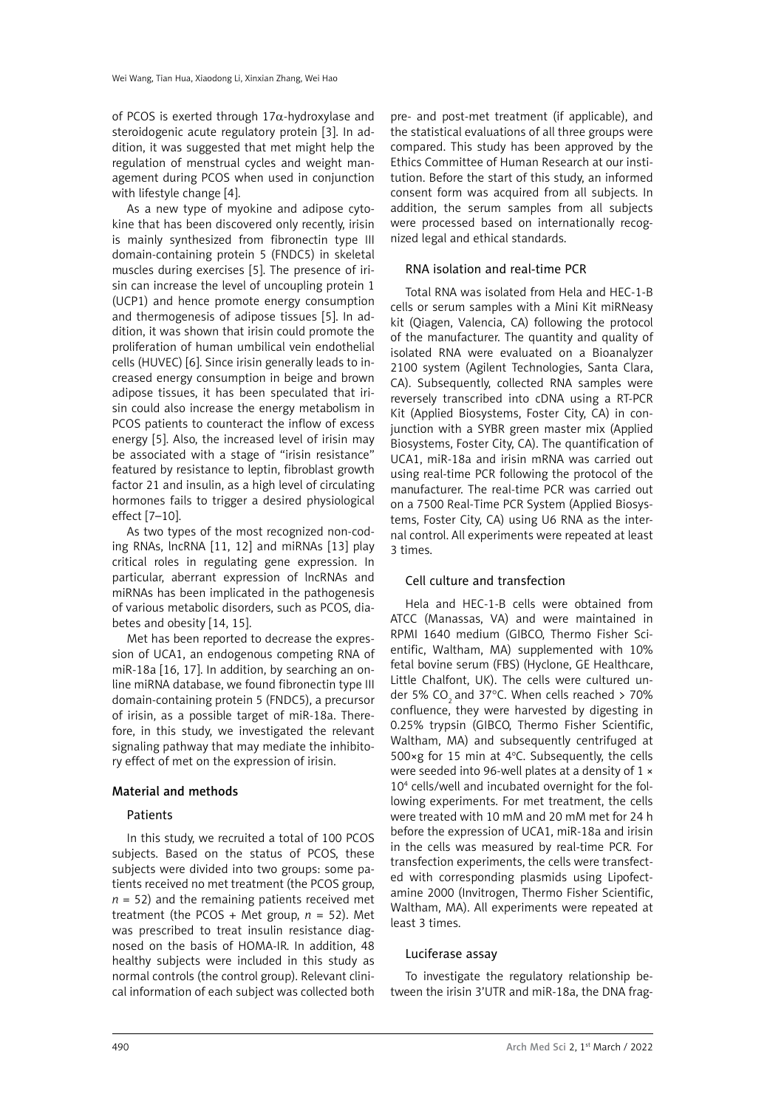of PCOS is exerted through  $17\alpha$ -hydroxylase and steroidogenic acute regulatory protein [3]. In addition, it was suggested that met might help the regulation of menstrual cycles and weight management during PCOS when used in conjunction with lifestyle change [4].

As a new type of myokine and adipose cytokine that has been discovered only recently, irisin is mainly synthesized from fibronectin type III domain-containing protein 5 (FNDC5) in skeletal muscles during exercises [5]. The presence of irisin can increase the level of uncoupling protein 1 (UCP1) and hence promote energy consumption and thermogenesis of adipose tissues [5]. In addition, it was shown that irisin could promote the proliferation of human umbilical vein endothelial cells (HUVEC) [6]. Since irisin generally leads to increased energy consumption in beige and brown adipose tissues, it has been speculated that irisin could also increase the energy metabolism in PCOS patients to counteract the inflow of excess energy [5]. Also, the increased level of irisin may be associated with a stage of "irisin resistance" featured by resistance to leptin, fibroblast growth factor 21 and insulin, as a high level of circulating hormones fails to trigger a desired physiological effect [7–10].

As two types of the most recognized non-coding RNAs, lncRNA [11, 12] and miRNAs [13] play critical roles in regulating gene expression. In particular, aberrant expression of lncRNAs and miRNAs has been implicated in the pathogenesis of various metabolic disorders, such as PCOS, diabetes and obesity [14, 15].

Met has been reported to decrease the expression of UCA1, an endogenous competing RNA of miR-18a [16, 17]. In addition, by searching an online miRNA database, we found fibronectin type III domain-containing protein 5 (FNDC5), a precursor of irisin, as a possible target of miR-18a. Therefore, in this study, we investigated the relevant signaling pathway that may mediate the inhibitory effect of met on the expression of irisin.

### Material and methods

### **Patients**

In this study, we recruited a total of 100 PCOS subjects. Based on the status of PCOS, these subjects were divided into two groups: some patients received no met treatment (the PCOS group,  $n = 52$ ) and the remaining patients received met treatment (the PCOS + Met group,  $n = 52$ ). Met was prescribed to treat insulin resistance diagnosed on the basis of HOMA-IR. In addition, 48 healthy subjects were included in this study as normal controls (the control group). Relevant clinical information of each subject was collected both

pre- and post-met treatment (if applicable), and the statistical evaluations of all three groups were compared. This study has been approved by the Ethics Committee of Human Research at our institution. Before the start of this study, an informed consent form was acquired from all subjects. In addition, the serum samples from all subjects were processed based on internationally recognized legal and ethical standards.

### RNA isolation and real-time PCR

Total RNA was isolated from Hela and HEC-1-B cells or serum samples with a Mini Kit miRNeasy kit (Qiagen, Valencia, CA) following the protocol of the manufacturer. The quantity and quality of isolated RNA were evaluated on a Bioanalyzer 2100 system (Agilent Technologies, Santa Clara, CA). Subsequently, collected RNA samples were reversely transcribed into cDNA using a RT-PCR Kit (Applied Biosystems, Foster City, CA) in conjunction with a SYBR green master mix (Applied Biosystems, Foster City, CA). The quantification of UCA1, miR-18a and irisin mRNA was carried out using real-time PCR following the protocol of the manufacturer. The real-time PCR was carried out on a 7500 Real-Time PCR System (Applied Biosystems, Foster City, CA) using U6 RNA as the internal control. All experiments were repeated at least 3 times.

### Cell culture and transfection

Hela and HEC-1-B cells were obtained from ATCC (Manassas, VA) and were maintained in RPMI 1640 medium (GIBCO, Thermo Fisher Scientific, Waltham, MA) supplemented with 10% fetal bovine serum (FBS) (Hyclone, GE Healthcare, Little Chalfont, UK). The cells were cultured under 5% CO<sub>2</sub> and 37°C. When cells reached  $>$  70% confluence, they were harvested by digesting in 0.25% trypsin (GIBCO, Thermo Fisher Scientific, Waltham, MA) and subsequently centrifuged at 500 $\times$ g for 15 min at 4°C. Subsequently, the cells were seeded into 96-well plates at a density of 1 × 104 cells/well and incubated overnight for the following experiments. For met treatment, the cells were treated with 10 mM and 20 mM met for 24 h before the expression of UCA1, miR-18a and irisin in the cells was measured by real-time PCR. For transfection experiments, the cells were transfected with corresponding plasmids using Lipofectamine 2000 (Invitrogen, Thermo Fisher Scientific, Waltham, MA). All experiments were repeated at least 3 times.

### Luciferase assay

To investigate the regulatory relationship between the irisin 3'UTR and miR-18a, the DNA frag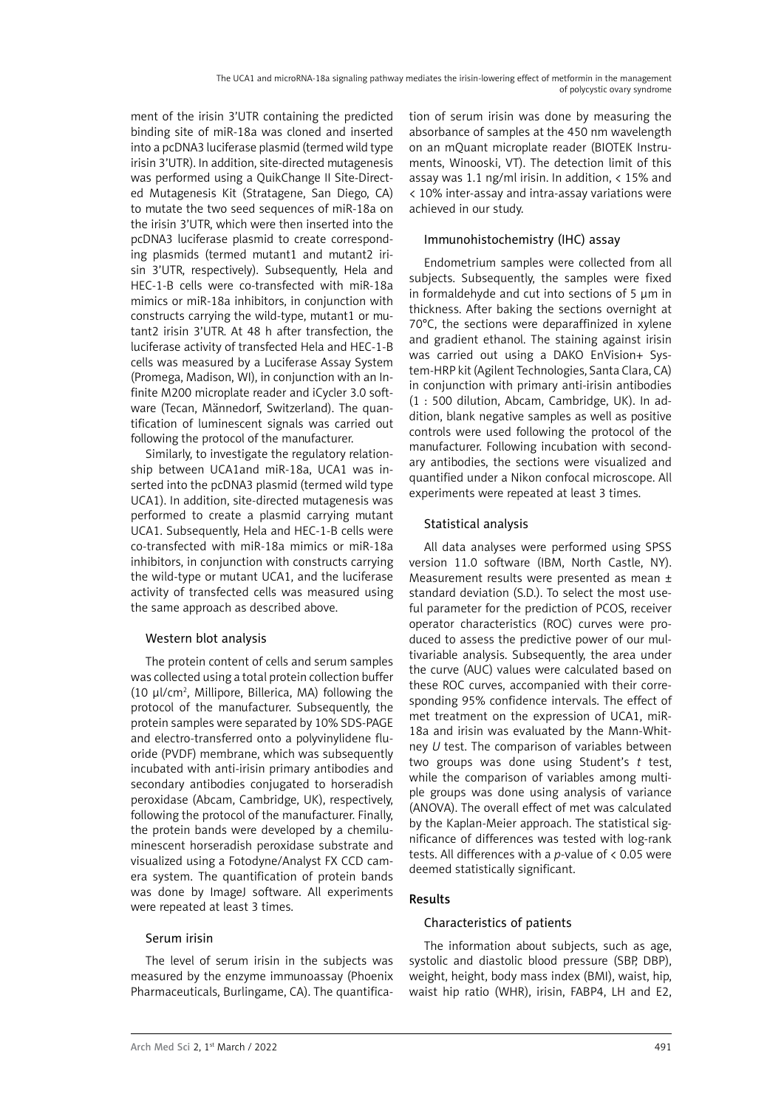ment of the irisin 3'UTR containing the predicted binding site of miR-18a was cloned and inserted into a pcDNA3 luciferase plasmid (termed wild type irisin 3'UTR). In addition, site-directed mutagenesis was performed using a QuikChange II Site-Directed Mutagenesis Kit (Stratagene, San Diego, CA) to mutate the two seed sequences of miR-18a on the irisin 3'UTR, which were then inserted into the pcDNA3 luciferase plasmid to create corresponding plasmids (termed mutant1 and mutant2 irisin 3'UTR, respectively). Subsequently, Hela and HEC-1-B cells were co-transfected with miR-18a mimics or miR-18a inhibitors, in conjunction with constructs carrying the wild-type, mutant1 or mutant2 irisin 3'UTR. At 48 h after transfection, the luciferase activity of transfected Hela and HEC-1-B cells was measured by a Luciferase Assay System (Promega, Madison, WI), in conjunction with an Infinite M200 microplate reader and iCycler 3.0 software (Tecan, Männedorf, Switzerland). The quantification of luminescent signals was carried out following the protocol of the manufacturer.

Similarly, to investigate the regulatory relationship between UCA1and miR-18a, UCA1 was inserted into the pcDNA3 plasmid (termed wild type UCA1). In addition, site-directed mutagenesis was performed to create a plasmid carrying mutant UCA1. Subsequently, Hela and HEC-1-B cells were co-transfected with miR-18a mimics or miR-18a inhibitors, in conjunction with constructs carrying the wild-type or mutant UCA1, and the luciferase activity of transfected cells was measured using the same approach as described above.

### Western blot analysis

The protein content of cells and serum samples was collected using a total protein collection buffer (10 μl/cm2 , Millipore, Billerica, MA) following the protocol of the manufacturer. Subsequently, the protein samples were separated by 10% SDS-PAGE and electro-transferred onto a polyvinylidene fluoride (PVDF) membrane, which was subsequently incubated with anti-irisin primary antibodies and secondary antibodies conjugated to horseradish peroxidase (Abcam, Cambridge, UK), respectively, following the protocol of the manufacturer. Finally, the protein bands were developed by a chemiluminescent horseradish peroxidase substrate and visualized using a Fotodyne/Analyst FX CCD camera system. The quantification of protein bands was done by ImageJ software. All experiments were repeated at least 3 times.

### Serum irisin

The level of serum irisin in the subjects was measured by the enzyme immunoassay (Phoenix Pharmaceuticals, Burlingame, CA). The quantification of serum irisin was done by measuring the absorbance of samples at the 450 nm wavelength on an mQuant microplate reader (BIOTEK Instruments, Winooski, VT). The detection limit of this assay was 1.1 ng/ml irisin. In addition, < 15% and < 10% inter-assay and intra-assay variations were achieved in our study.

# Immunohistochemistry (IHC) assay

Endometrium samples were collected from all subjects. Subsequently, the samples were fixed in formaldehyde and cut into sections of 5 μm in thickness. After baking the sections overnight at 70°C, the sections were deparaffinized in xylene and gradient ethanol. The staining against irisin was carried out using a DAKO EnVision+ System-HRP kit (Agilent Technologies, Santa Clara, CA) in conjunction with primary anti-irisin antibodies (1 : 500 dilution, Abcam, Cambridge, UK). In addition, blank negative samples as well as positive controls were used following the protocol of the manufacturer. Following incubation with secondary antibodies, the sections were visualized and quantified under a Nikon confocal microscope. All experiments were repeated at least 3 times.

# Statistical analysis

All data analyses were performed using SPSS version 11.0 software (IBM, North Castle, NY). Measurement results were presented as mean ± standard deviation (S.D.). To select the most useful parameter for the prediction of PCOS, receiver operator characteristics (ROC) curves were produced to assess the predictive power of our multivariable analysis. Subsequently, the area under the curve (AUC) values were calculated based on these ROC curves, accompanied with their corresponding 95% confidence intervals. The effect of met treatment on the expression of UCA1, miR-18a and irisin was evaluated by the Mann-Whitney *U* test. The comparison of variables between two groups was done using Student's *t* test, while the comparison of variables among multiple groups was done using analysis of variance (ANOVA). The overall effect of met was calculated by the Kaplan-Meier approach. The statistical significance of differences was tested with log-rank tests. All differences with a *p-*value of < 0.05 were deemed statistically significant.

# Results

# Characteristics of patients

The information about subjects, such as age, systolic and diastolic blood pressure (SBP, DBP), weight, height, body mass index (BMI), waist, hip, waist hip ratio (WHR), irisin, FABP4, LH and E2,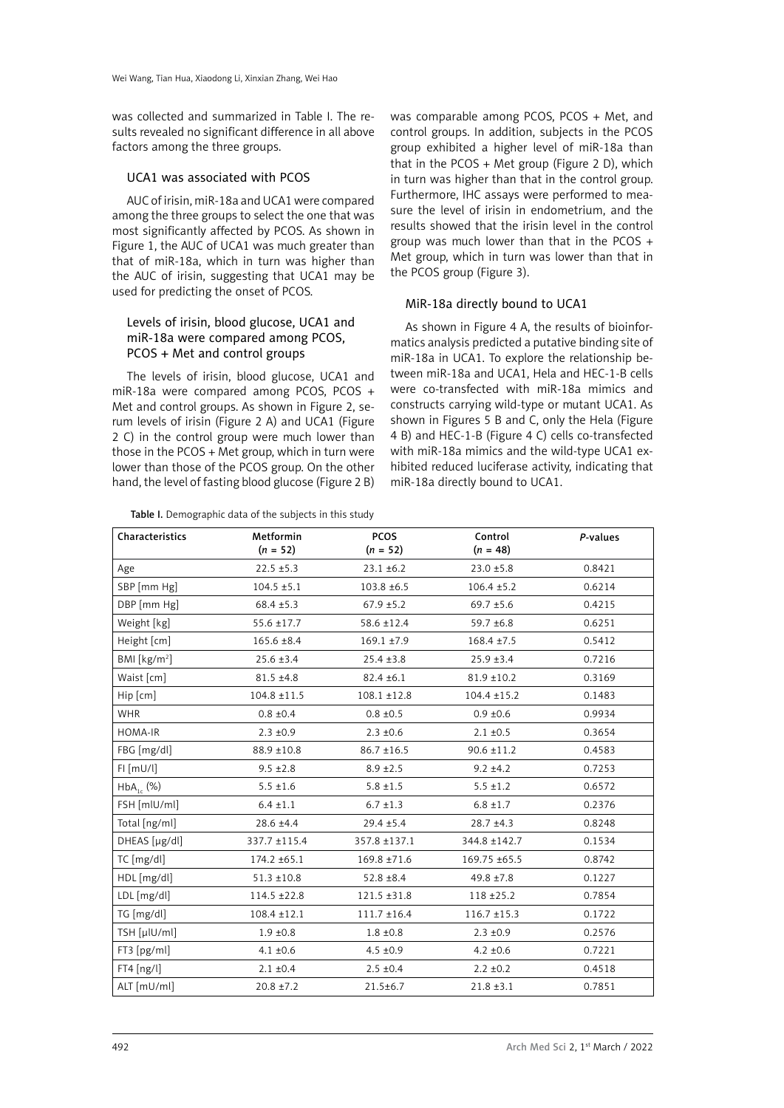was collected and summarized in Table I. The results revealed no significant difference in all above factors among the three groups.

#### UCA1 was associated with PCOS

AUC of irisin, miR-18a and UCA1 were compared among the three groups to select the one that was most significantly affected by PCOS. As shown in Figure 1, the AUC of UCA1 was much greater than that of miR-18a, which in turn was higher than the AUC of irisin, suggesting that UCA1 may be used for predicting the onset of PCOS.

### Levels of irisin, blood glucose, UCA1 and miR-18a were compared among PCOS, PCOS + Met and control groups

The levels of irisin, blood glucose, UCA1 and miR-18a were compared among PCOS, PCOS + Met and control groups. As shown in Figure 2, serum levels of irisin (Figure 2 A) and UCA1 (Figure 2 C) in the control group were much lower than those in the PCOS + Met group, which in turn were lower than those of the PCOS group. On the other hand, the level of fasting blood glucose (Figure 2 B)

Table I. Demographic data of the subjects in this study

was comparable among PCOS, PCOS + Met, and control groups. In addition, subjects in the PCOS group exhibited a higher level of miR-18a than that in the PCOS + Met group (Figure 2 D), which in turn was higher than that in the control group. Furthermore, IHC assays were performed to measure the level of irisin in endometrium, and the results showed that the irisin level in the control group was much lower than that in the PCOS + Met group, which in turn was lower than that in the PCOS group (Figure 3).

### MiR-18a directly bound to UCA1

As shown in Figure 4 A, the results of bioinformatics analysis predicted a putative binding site of miR-18a in UCA1. To explore the relationship between miR-18a and UCA1, Hela and HEC-1-B cells were co-transfected with miR-18a mimics and constructs carrying wild-type or mutant UCA1. As shown in Figures 5 B and C, only the Hela (Figure 4 B) and HEC-1-B (Figure 4 C) cells co-transfected with miR-18a mimics and the wild-type UCA1 exhibited reduced luciferase activity, indicating that miR-18a directly bound to UCA1.

| Characteristics | Metformin<br>$(n = 52)$ | <b>PCOS</b><br>$(n = 52)$ | Control<br>$(n = 48)$ | P-values |
|-----------------|-------------------------|---------------------------|-----------------------|----------|
| Age             | $22.5 \pm 5.3$          | $23.1 \pm 6.2$            | $23.0 \pm 5.8$        | 0.8421   |
| SBP [mm Hg]     | $104.5 \pm 5.1$         | $103.8 \pm 6.5$           | $106.4 \pm 5.2$       | 0.6214   |
| DBP [mm Hg]     | $68.4 \pm 5.3$          | $67.9 \pm 5.2$            | $69.7 \pm 5.6$        | 0.4215   |
| Weight [kg]     | $55.6 \pm 17.7$         | 58.6 ±12.4                | 59.7 ±6.8             | 0.6251   |
| Height [cm]     | $165.6 \pm 8.4$         | $169.1 \pm 7.9$           | $168.4 \pm 7.5$       | 0.5412   |
| BMI [ $kg/m2$ ] | $25.6 \pm 3.4$          | $25.4 \pm 3.8$            | $25.9 \pm 3.4$        | 0.7216   |
| Waist [cm]      | $81.5 \pm 4.8$          | $82.4 \pm 6.1$            | $81.9 \pm 10.2$       | 0.3169   |
| Hip [cm]        | $104.8 \pm 11.5$        | $108.1 \pm 12.8$          | $104.4 \pm 15.2$      | 0.1483   |
| <b>WHR</b>      | $0.8 \pm 0.4$           | $0.8 \pm 0.5$             | $0.9 \pm 0.6$         | 0.9934   |
| HOMA-IR         | $2.3 \pm 0.9$           | $2.3 \pm 0.6$             | $2.1 \pm 0.5$         | 0.3654   |
| FBG [mg/dl]     | 88.9 ±10.8              | $86.7 \pm 16.5$           | $90.6 \pm 11.2$       | 0.4583   |
| $FI$ [mU/l]     | $9.5 \pm 2.8$           | $8.9 \pm 2.5$             | $9.2 \pm 4.2$         | 0.7253   |
| $HbA_{1c}$ (%)  | $5.5 \pm 1.6$           | $5.8 \pm 1.5$             | $5.5 \pm 1.2$         | 0.6572   |
| FSH [mlU/ml]    | $6.4 \pm 1.1$           | $6.7 \pm 1.3$             | $6.8 \pm 1.7$         | 0.2376   |
| Total [ng/ml]   | 28.6 ±4.4               | $29.4 \pm 5.4$            | $28.7 + 4.3$          | 0.8248   |
| DHEAS [µg/dl]   | 337.7 ±115.4            | 357.8 ±137.1              | 344.8 ±142.7          | 0.1534   |
| $TC$ [mg/dl]    | 174.2 ±65.1             | 169.8 ±71.6               | 169.75 ±65.5          | 0.8742   |
| HDL [mg/dl]     | $51.3 \pm 10.8$         | $52.8 \pm 8.4$            | $49.8 \pm 7.8$        | 0.1227   |
| LDL [mg/dl]     | $114.5 \pm 22.8$        | $121.5 \pm 31.8$          | $118 + 25.2$          | 0.7854   |
| TG [mg/dl]      | $108.4 \pm 12.1$        | $111.7 \pm 16.4$          | $116.7 \pm 15.3$      | 0.1722   |
| TSH [µlU/ml]    | $1.9 \pm 0.8$           | $1.8 \pm 0.8$             | $2.3 \pm 0.9$         | 0.2576   |
| FT3 [pg/ml]     | $4.1 \pm 0.6$           | $4.5 \pm 0.9$             | $4.2 \pm 0.6$         | 0.7221   |
| FT4 [ng/l]      | $2.1 \pm 0.4$           | $2.5 \pm 0.4$             | $2.2 \pm 0.2$         | 0.4518   |
| ALT [mU/ml]     | $20.8 \pm 7.2$          | $21.5 \pm 6.7$            | $21.8 \pm 3.1$        | 0.7851   |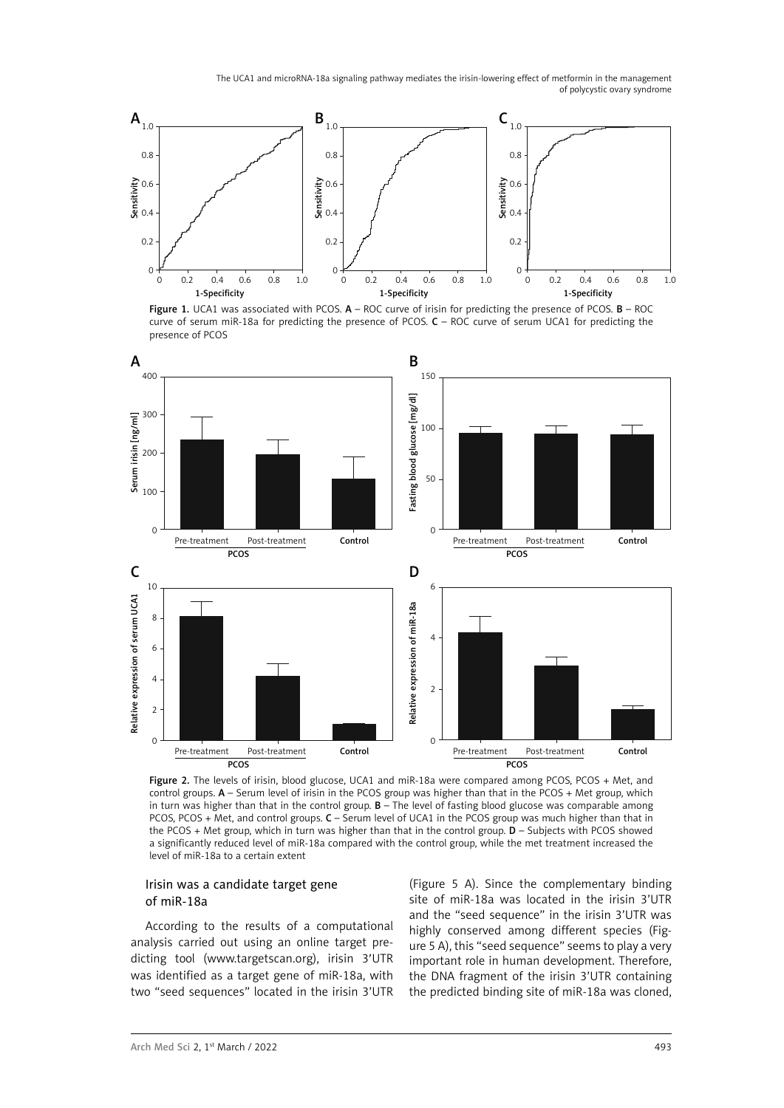

Figure 1. UCA1 was associated with PCOS. A - ROC curve of irisin for predicting the presence of PCOS. B - ROC curve of serum miR-18a for predicting the presence of PCOS. C – ROC curve of serum UCA1 for predicting the presence of PCOS



Figure 2. The levels of irisin, blood glucose, UCA1 and miR-18a were compared among PCOS, PCOS + Met, and control groups.  $A$  – Serum level of irisin in the PCOS group was higher than that in the PCOS + Met group, which in turn was higher than that in the control group. **B** – The level of fasting blood glucose was comparable among PCOS, PCOS + Met, and control groups. C – Serum level of UCA1 in the PCOS group was much higher than that in the PCOS + Met group, which in turn was higher than that in the control group. D – Subjects with PCOS showed a significantly reduced level of miR-18a compared with the control group, while the met treatment increased the level of miR-18a to a certain extent

### Irisin was a candidate target gene of miR-18a

According to the results of a computational analysis carried out using an online target predicting tool (www.targetscan.org), irisin 3′UTR was identified as a target gene of miR-18a, with two "seed sequences" located in the irisin 3'UTR

(Figure 5 A). Since the complementary binding site of miR-18a was located in the irisin 3'UTR and the "seed sequence" in the irisin 3'UTR was highly conserved among different species (Figure 5 A), this "seed sequence" seems to play a very important role in human development. Therefore, the DNA fragment of the irisin 3'UTR containing the predicted binding site of miR-18a was cloned,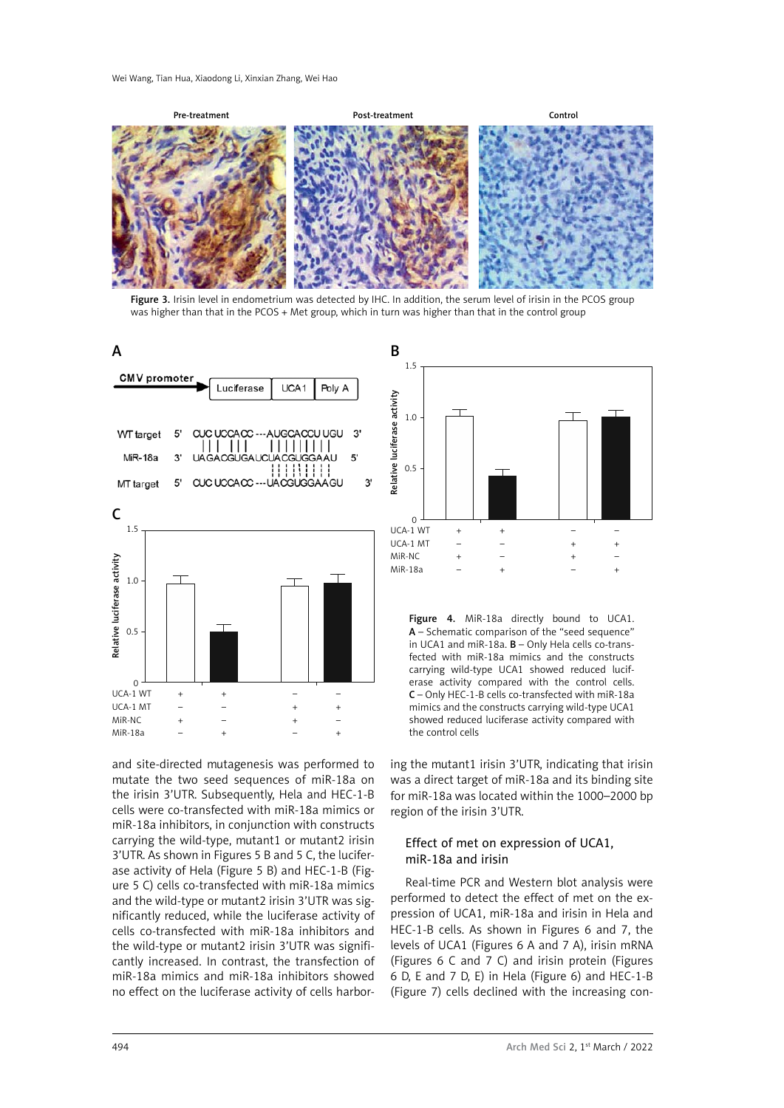Pre-treatment Control Post-treatment Control

Figure 3. Irisin level in endometrium was detected by IHC. In addition, the serum level of irisin in the PCOS group was higher than that in the PCOS + Met group, which in turn was higher than that in the control group



and site-directed mutagenesis was performed to mutate the two seed sequences of miR-18a on the irisin 3'UTR. Subsequently, Hela and HEC-1-B cells were co-transfected with miR-18a mimics or miR-18a inhibitors, in conjunction with constructs carrying the wild-type, mutant1 or mutant2 irisin 3'UTR. As shown in Figures 5 B and 5 C, the luciferase activity of Hela (Figure 5 B) and HEC-1-B (Figure 5 C) cells co-transfected with miR-18a mimics and the wild-type or mutant2 irisin 3'UTR was significantly reduced, while the luciferase activity of cells co-transfected with miR-18a inhibitors and the wild-type or mutant2 irisin 3'UTR was significantly increased. In contrast, the transfection of miR-18a mimics and miR-18a inhibitors showed no effect on the luciferase activity of cells harbor-



Figure 4. MiR-18a directly bound to UCA1. A – Schematic comparison of the "seed sequence" in UCA1 and miR-18a. B – Only Hela cells co-transfected with miR-18a mimics and the constructs carrying wild-type UCA1 showed reduced luciferase activity compared with the control cells. C – Only HEC-1-B cells co-transfected with miR-18a mimics and the constructs carrying wild-type UCA1 showed reduced luciferase activity compared with the control cells

ing the mutant1 irisin 3'UTR, indicating that irisin was a direct target of miR-18a and its binding site for miR-18a was located within the 1000–2000 bp region of the irisin 3'UTR.

### Effect of met on expression of UCA1, miR-18a and irisin

Real-time PCR and Western blot analysis were performed to detect the effect of met on the expression of UCA1, miR-18a and irisin in Hela and HEC-1-B cells. As shown in Figures 6 and 7, the levels of UCA1 (Figures 6 A and 7 A), irisin mRNA (Figures 6 C and 7 C) and irisin protein (Figures 6 D, E and 7 D, E) in Hela (Figure 6) and HEC-1-B (Figure 7) cells declined with the increasing con-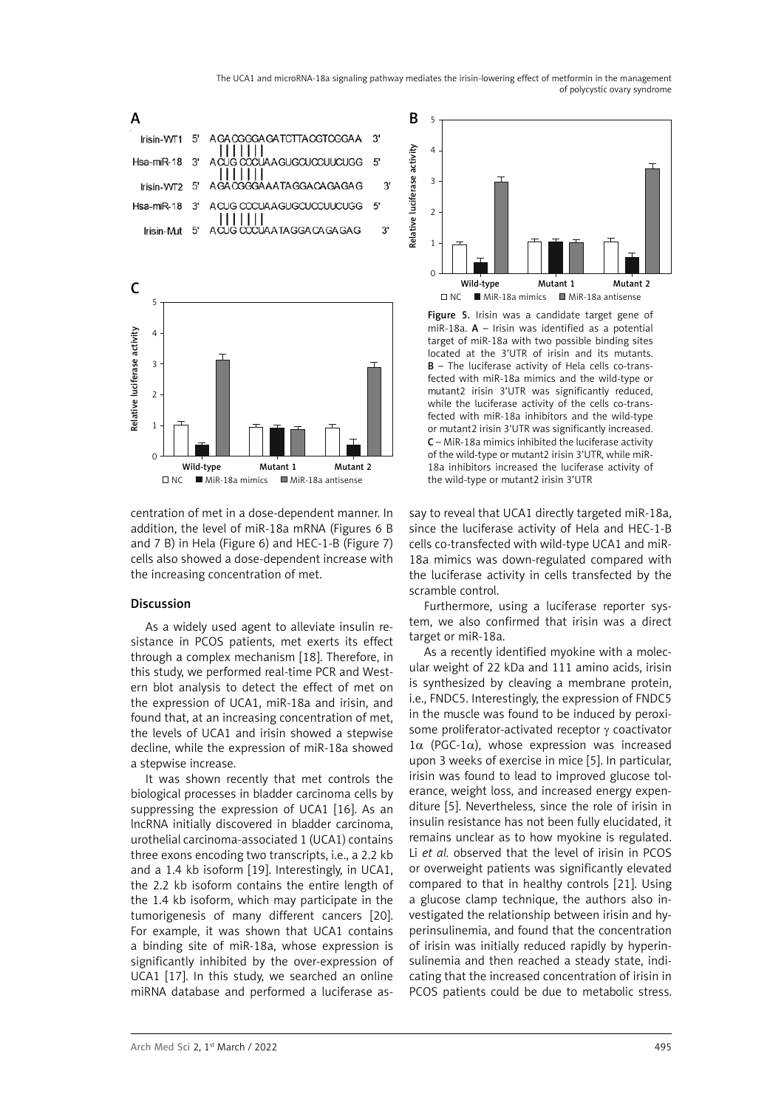



centration of met in a dose-dependent manner. In addition, the level of miR-18a mRNA (Figures 6 B and 7 B) in Hela (Figure 6) and HEC-1-B (Figure 7) cells also showed a dose-dependent increase with the increasing concentration of met.

### Discussion

As a widely used agent to alleviate insulin resistance in PCOS patients, met exerts its effect through a complex mechanism [18]. Therefore, in this study, we performed real-time PCR and Western blot analysis to detect the effect of met on the expression of UCA1, miR-18a and irisin, and found that, at an increasing concentration of met, the levels of UCA1 and irisin showed a stepwise decline, while the expression of miR-18a showed a stepwise increase.

It was shown recently that met controls the biological processes in bladder carcinoma cells by suppressing the expression of UCA1 [16]. As an lncRNA initially discovered in bladder carcinoma, urothelial carcinoma-associated 1 (UCA1) contains three exons encoding two transcripts, i.e., a 2.2 kb and a 1.4 kb isoform [19]. Interestingly, in UCA1, the 2.2 kb isoform contains the entire length of the 1.4 kb isoform, which may participate in the tumorigenesis of many different cancers [20]. For example, it was shown that UCA1 contains a binding site of miR-18a, whose expression is significantly inhibited by the over-expression of UCA1 [17]. In this study, we searched an online miRNA database and performed a luciferase as-



Figure 5. Irisin was a candidate target gene of miR-18a.  $A$  – Irisin was identified as a potential target of miR-18a with two possible binding sites located at the 3'UTR of irisin and its mutants. B – The luciferase activity of Hela cells co-transfected with miR-18a mimics and the wild-type or mutant2 irisin 3'UTR was significantly reduced, while the luciferase activity of the cells co-transfected with miR-18a inhibitors and the wild-type or mutant2 irisin 3'UTR was significantly increased. C – MiR-18a mimics inhibited the luciferase activity of the wild-type or mutant2 irisin 3'UTR, while miR-18a inhibitors increased the luciferase activity of the wild-type or mutant2 irisin 3'UTR

say to reveal that UCA1 directly targeted miR-18a, since the luciferase activity of Hela and HEC-1-B cells co-transfected with wild-type UCA1 and miR-18a mimics was down-regulated compared with the luciferase activity in cells transfected by the scramble control.

Furthermore, using a luciferase reporter system, we also confirmed that irisin was a direct target or miR-18a.

As a recently identified myokine with a molecular weight of 22 kDa and 111 amino acids, irisin is synthesized by cleaving a membrane protein, i.e., FNDC5. Interestingly, the expression of FNDC5 in the muscle was found to be induced by peroxisome proliferator-activated receptor  $\gamma$  coactivator  $1\alpha$  (PGC-1 $\alpha$ ), whose expression was increased upon 3 weeks of exercise in mice [5]. In particular, irisin was found to lead to improved glucose tolerance, weight loss, and increased energy expenditure [5]. Nevertheless, since the role of irisin in insulin resistance has not been fully elucidated, it remains unclear as to how myokine is regulated. Li *et al.* observed that the level of irisin in PCOS or overweight patients was significantly elevated compared to that in healthy controls [21]. Using a glucose clamp technique, the authors also investigated the relationship between irisin and hyperinsulinemia, and found that the concentration of irisin was initially reduced rapidly by hyperinsulinemia and then reached a steady state, indicating that the increased concentration of irisin in PCOS patients could be due to metabolic stress.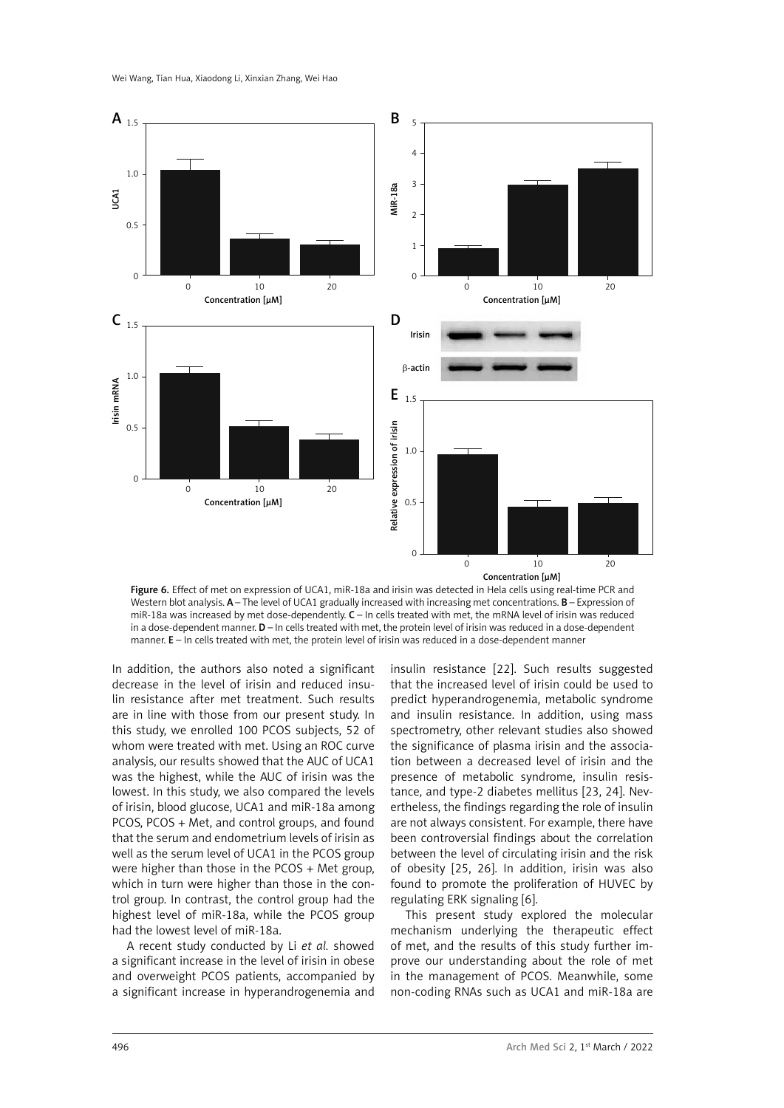

Figure 6. Effect of met on expression of UCA1, miR-18a and irisin was detected in Hela cells using real-time PCR and Western blot analysis. A – The level of UCA1 gradually increased with increasing met concentrations. B – Expression of miR-18a was increased by met dose-dependently. C – In cells treated with met, the mRNA level of irisin was reduced in a dose-dependent manner. **D** – In cells treated with met, the protein level of irisin was reduced in a dose-dependent manner. E - In cells treated with met, the protein level of irisin was reduced in a dose-dependent manner

In addition, the authors also noted a significant decrease in the level of irisin and reduced insulin resistance after met treatment. Such results are in line with those from our present study. In this study, we enrolled 100 PCOS subjects, 52 of whom were treated with met. Using an ROC curve analysis, our results showed that the AUC of UCA1 was the highest, while the AUC of irisin was the lowest. In this study, we also compared the levels of irisin, blood glucose, UCA1 and miR-18a among PCOS, PCOS + Met, and control groups, and found that the serum and endometrium levels of irisin as well as the serum level of UCA1 in the PCOS group were higher than those in the PCOS + Met group, which in turn were higher than those in the control group. In contrast, the control group had the highest level of miR-18a, while the PCOS group had the lowest level of miR-18a.

A recent study conducted by Li *et al.* showed a significant increase in the level of irisin in obese and overweight PCOS patients, accompanied by a significant increase in hyperandrogenemia and insulin resistance [22]. Such results suggested that the increased level of irisin could be used to predict hyperandrogenemia, metabolic syndrome and insulin resistance. In addition, using mass spectrometry, other relevant studies also showed the significance of plasma irisin and the association between a decreased level of irisin and the presence of metabolic syndrome, insulin resistance, and type-2 diabetes mellitus [23, 24]. Nevertheless, the findings regarding the role of insulin are not always consistent. For example, there have been controversial findings about the correlation between the level of circulating irisin and the risk of obesity [25, 26]. In addition, irisin was also found to promote the proliferation of HUVEC by regulating ERK signaling [6].

This present study explored the molecular mechanism underlying the therapeutic effect of met, and the results of this study further improve our understanding about the role of met in the management of PCOS. Meanwhile, some non-coding RNAs such as UCA1 and miR-18a are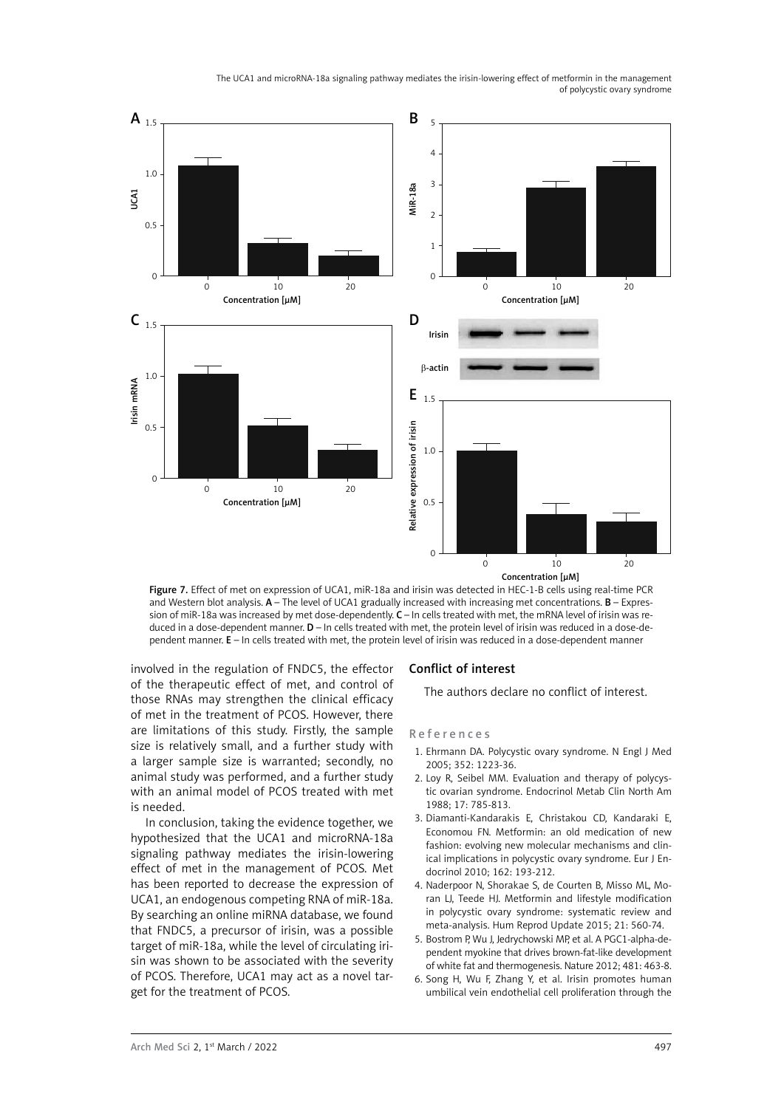

Concentration [µM]

Figure 7. Effect of met on expression of UCA1, miR-18a and irisin was detected in HEC-1-B cells using real-time PCR and Western blot analysis.  $A$  – The level of UCA1 gradually increased with increasing met concentrations.  $B$  – Expression of miR-18a was increased by met dose-dependently. C - In cells treated with met, the mRNA level of irisin was reduced in a dose-dependent manner. D – In cells treated with met, the protein level of irisin was reduced in a dose-dependent manner. E – In cells treated with met, the protein level of irisin was reduced in a dose-dependent manner

involved in the regulation of FNDC5, the effector of the therapeutic effect of met, and control of those RNAs may strengthen the clinical efficacy of met in the treatment of PCOS. However, there are limitations of this study. Firstly, the sample size is relatively small, and a further study with a larger sample size is warranted; secondly, no animal study was performed, and a further study with an animal model of PCOS treated with met is needed.

In conclusion, taking the evidence together, we hypothesized that the UCA1 and microRNA-18a signaling pathway mediates the irisin-lowering effect of met in the management of PCOS. Met has been reported to decrease the expression of UCA1, an endogenous competing RNA of miR-18a. By searching an online miRNA database, we found that FNDC5, a precursor of irisin, was a possible target of miR-18a, while the level of circulating irisin was shown to be associated with the severity of PCOS. Therefore, UCA1 may act as a novel target for the treatment of PCOS.

### Conflict of interest

The authors declare no conflict of interest.

#### References

- 1. Ehrmann DA. Polycystic ovary syndrome. N Engl J Med 2005; 352: 1223-36.
- 2. Loy R, Seibel MM. Evaluation and therapy of polycystic ovarian syndrome. Endocrinol Metab Clin North Am 1988; 17: 785-813.
- 3. Diamanti-Kandarakis E, Christakou CD, Kandaraki E, Economou FN. Metformin: an old medication of new fashion: evolving new molecular mechanisms and clinical implications in polycystic ovary syndrome. Eur J Endocrinol 2010; 162: 193-212.
- 4. Naderpoor N, Shorakae S, de Courten B, Misso ML, Moran LJ, Teede HJ. Metformin and lifestyle modification in polycystic ovary syndrome: systematic review and meta-analysis. Hum Reprod Update 2015; 21: 560-74.
- 5. Bostrom P, Wu J, Jedrychowski MP, et al. A PGC1-alpha-dependent myokine that drives brown-fat-like development of white fat and thermogenesis. Nature 2012; 481: 463-8.
- 6. Song H, Wu F, Zhang Y, et al. Irisin promotes human umbilical vein endothelial cell proliferation through the